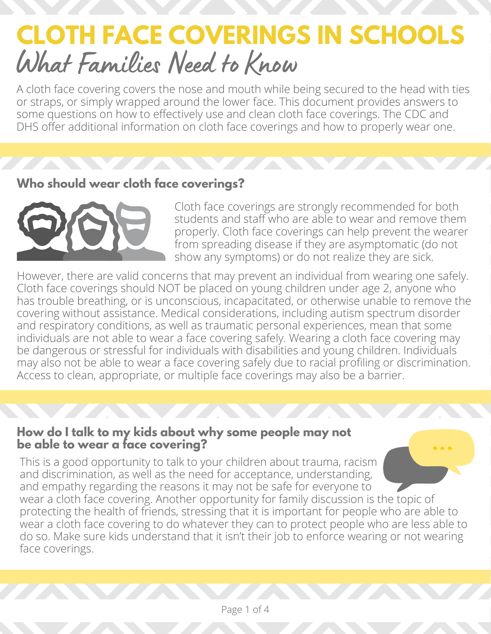# **CLOTH FACE COVERINGS IN SCHOOLS** What Families Need to Know

A cloth face covering covers the nose and mouth while being secured to the head with ties or straps, or simply wrapped around the lower face. This document provides answers to some questions on how to effectively use and clean cloth face coverings. The CDC and DHS offer additional information on cloth face coverings and how to properly wear one.

### **Who should wear cloth face coverings?**



Cloth face coverings are strongly recommended for both students and staff who are able to wear and remove them properly. Cloth face coverings can help prevent the wearer from spreading disease if they are asymptomatic (do not show any symptoms) or do not realize they are sick.

However, there are valid concerns that may prevent an individual from wearing one safely. Cloth face coverings should NOT be placed on young children under age 2, anyone who has trouble breathing, or is unconscious, incapacitated, or otherwise unable to remove the covering without assistance. Medical considerations, including autism spectrum disorder and respiratory conditions, as well as traumatic personal experiences, mean that some individuals are not able to wear a face covering safely. Wearing a cloth face covering may be dangerous or stressful for individuals with disabilities and young children. Individuals may also not be able to wear a face covering safely due to racial profiling or discrimination. Access to clean, appropriate, or multiple face coverings may also be a barrier.

#### **How do I talk to my kids about why some people may not be able to wear a face covering?**

This is a good opportunity to talk to your children about trauma, racism and discrimination, as well as the need for acceptance, understanding, and empathy regarding the reasons it may not be safe for everyone to wear a cloth face covering. Another opportunity for family discussion is the topic of protecting the health of friends, stressing that it is important for people who are able to wear a cloth face covering to do whatever they can to protect people who are less able to do so. Make sure kids understand that it isn't their job to enforce wearing or not wearing face coverings.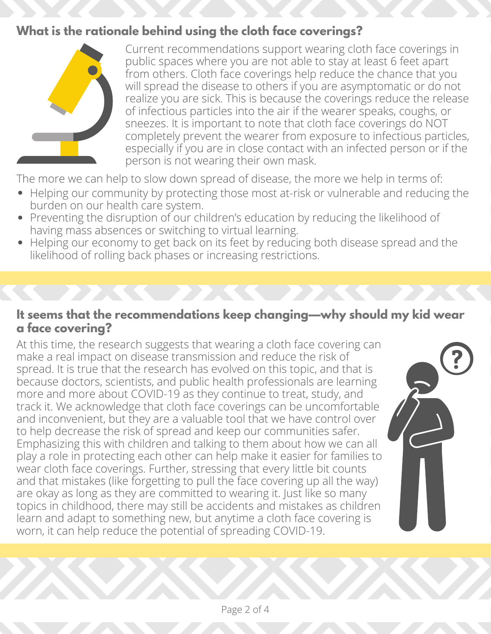## **What is the rationale behind using the cloth face coverings?**



Current recommendations support wearing cloth face coverings in public spaces where you are not able to stay at least 6 feet apart from others. Cloth face coverings help reduce the chance that you will spread the disease to others if you are asymptomatic or do not realize you are sick. This is because the coverings reduce the release of infectious particles into the air if the wearer speaks, coughs, or sneezes. It is important to note that cloth face coverings do NOT completely prevent the wearer from exposure to infectious particles, especially if you are in close contact with an infected person or if the person is not wearing their own mask.

The more we can help to slow down spread of disease, the more we help in terms of:

- Helping our community by protecting those most at-risk or vulnerable and reducing the burden on our health care system.
- Preventing the disruption of our children's education by reducing the likelihood of having mass absences or switching to virtual learning.
- Helping our economy to get back on its feet by reducing both disease spread and the likelihood of rolling back phases or increasing restrictions.

#### **It seems that the recommendations keep changing—why should my kid wear a face covering?**

At this time, the research suggests that wearing a cloth face covering can make a real impact on disease transmission and reduce the risk of spread. It is true that the research has evolved on this topic, and that is because doctors, scientists, and public health professionals are learning more and more about COVID-19 as they continue to treat, study, and track it. We acknowledge that cloth face coverings can be uncomfortable and inconvenient, but they are a valuable tool that we have control over to help decrease the risk of spread and keep our communities safer. Emphasizing this with children and talking to them about how we can all play a role in protecting each other can help make it easier for families to wear cloth face coverings. Further, stressing that every little bit counts and that mistakes (like forgetting to pull the face covering up all the way) are okay as long as they are committed to wearing it. Just like so many topics in childhood, there may still be accidents and mistakes as children learn and adapt to something new, but anytime a cloth face covering is worn, it can help reduce the potential of spreading COVID-19.

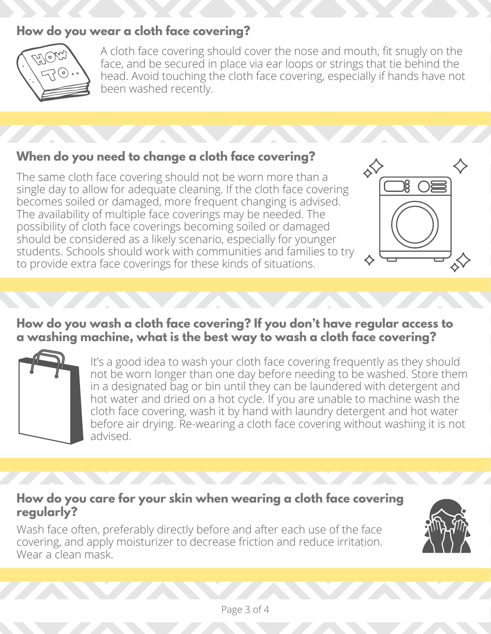## **How do you wear a cloth face covering?**



A cloth face covering should cover the nose and mouth, fit snugly on the face, and be secured in place via ear loops or strings that tie behind the head. Avoid touching the cloth face covering, especially if hands have not been washed recently.

# **When do you need to change a cloth face covering?**

The same cloth face covering should not be worn more than a single day to allow for adequate cleaning. If the cloth face covering becomes soiled or damaged, more frequent changing is advised. The availability of multiple face coverings may be needed. The possibility of cloth face coverings becoming soiled or damaged should be considered as a likely scenario, especially for younger students. Schools should work with communities and families to try to provide extra face coverings for these kinds of situations.



## **How do you wash a cloth face covering? If you don't have regular access to a washing machine, what is the best way to wash a cloth face covering?**



It's a good idea to wash your cloth face covering frequently as they should not be worn longer than one day before needing to be washed. Store them in a designated bag or bin until they can be laundered with detergent and hot water and dried on a hot cycle. If you are unable to machine wash the cloth face covering, wash it by hand with laundry detergent and hot water before air drying. Re-wearing a cloth face covering without washing it is not advised.

#### **How do you care for your skin when wearing a cloth face covering regularly?**

Wash face often, preferably directly before and after each use of the face covering, and apply moisturizer to decrease friction and reduce irritation. Wear a clean mask.